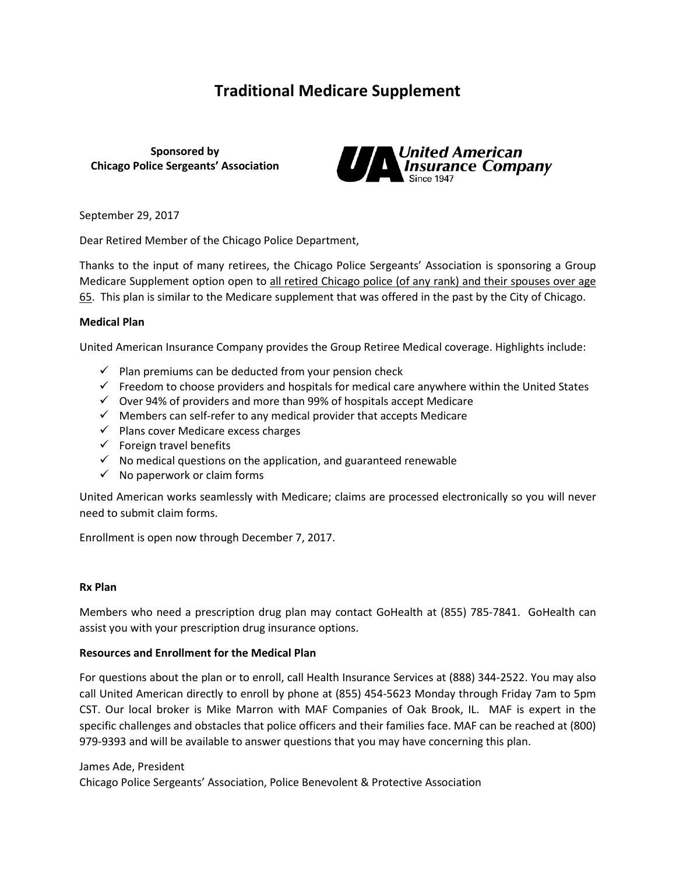# **Traditional Medicare Supplement**

**Sponsored by Chicago Police Sergeants' Association**



September 29, 2017

Dear Retired Member of the Chicago Police Department,

Thanks to the input of many retirees, the Chicago Police Sergeants' Association is sponsoring a Group Medicare Supplement option open to all retired Chicago police (of any rank) and their spouses over age 65. This plan is similar to the Medicare supplement that was offered in the past by the City of Chicago.

#### **Medical Plan**

United American Insurance Company provides the Group Retiree Medical coverage. Highlights include:

- $\checkmark$  Plan premiums can be deducted from your pension check
- $\checkmark$  Freedom to choose providers and hospitals for medical care anywhere within the United States
- $\checkmark$  Over 94% of providers and more than 99% of hospitals accept Medicare
- $\checkmark$  Members can self-refer to any medical provider that accepts Medicare
- $\checkmark$  Plans cover Medicare excess charges
- $\checkmark$  Foreign travel benefits
- $\checkmark$  No medical questions on the application, and guaranteed renewable
- $\checkmark$  No paperwork or claim forms

United American works seamlessly with Medicare; claims are processed electronically so you will never need to submit claim forms.

Enrollment is open now through December 7, 2017.

#### **Rx Plan**

Members who need a prescription drug plan may contact GoHealth at (855) 785-7841. GoHealth can assist you with your prescription drug insurance options.

### **Resources and Enrollment for the Medical Plan**

For questions about the plan or to enroll, call Health Insurance Services at (888) 344-2522. You may also call United American directly to enroll by phone at (855) 454-5623 Monday through Friday 7am to 5pm CST. Our local broker is Mike Marron with MAF Companies of Oak Brook, IL. MAF is expert in the specific challenges and obstacles that police officers and their families face. MAF can be reached at (800) 979-9393 and will be available to answer questions that you may have concerning this plan.

#### James Ade, President

Chicago Police Sergeants' Association, Police Benevolent & Protective Association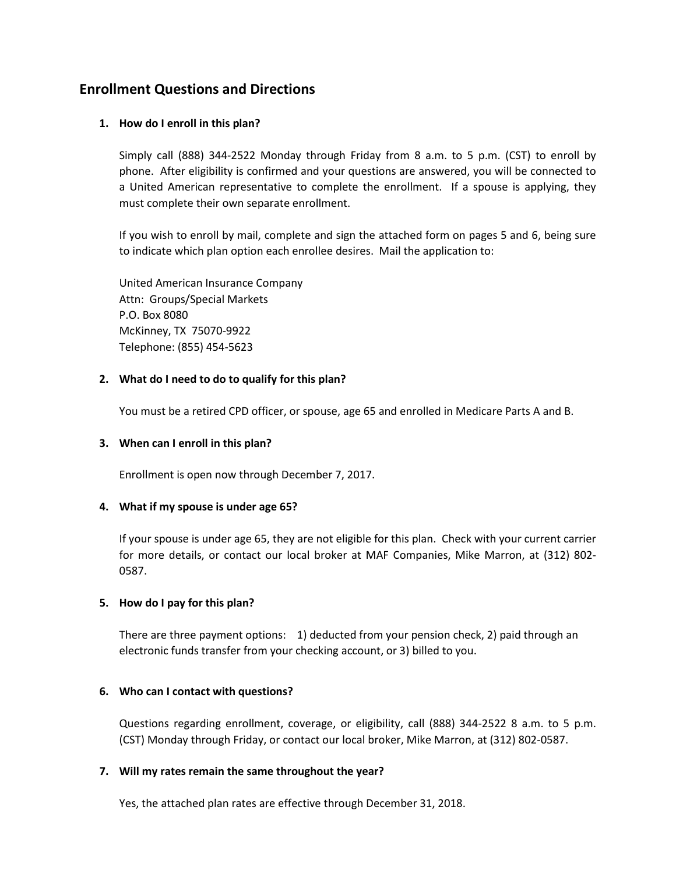## **Enrollment Questions and Directions**

## **1. How do I enroll in this plan?**

Simply call (888) 344-2522 Monday through Friday from 8 a.m. to 5 p.m. (CST) to enroll by phone. After eligibility is confirmed and your questions are answered, you will be connected to a United American representative to complete the enrollment. If a spouse is applying, they must complete their own separate enrollment.

If you wish to enroll by mail, complete and sign the attached form on pages 5 and 6, being sure to indicate which plan option each enrollee desires. Mail the application to:

United American Insurance Company Attn: Groups/Special Markets P.O. Box 8080 McKinney, TX 75070-9922 Telephone: (855) 454-5623

### **2. What do I need to do to qualify for this plan?**

You must be a retired CPD officer, or spouse, age 65 and enrolled in Medicare Parts A and B.

### **3. When can I enroll in this plan?**

Enrollment is open now through December 7, 2017.

### **4. What if my spouse is under age 65?**

If your spouse is under age 65, they are not eligible for this plan. Check with your current carrier for more details, or contact our local broker at MAF Companies, Mike Marron, at (312) 802- 0587.

### **5. How do I pay for this plan?**

There are three payment options: 1) deducted from your pension check, 2) paid through an electronic funds transfer from your checking account, or 3) billed to you.

### **6. Who can I contact with questions?**

Questions regarding enrollment, coverage, or eligibility, call (888) 344-2522 8 a.m. to 5 p.m. (CST) Monday through Friday, or contact our local broker, Mike Marron, at (312) 802-0587.

### **7. Will my rates remain the same throughout the year?**

Yes, the attached plan rates are effective through December 31, 2018.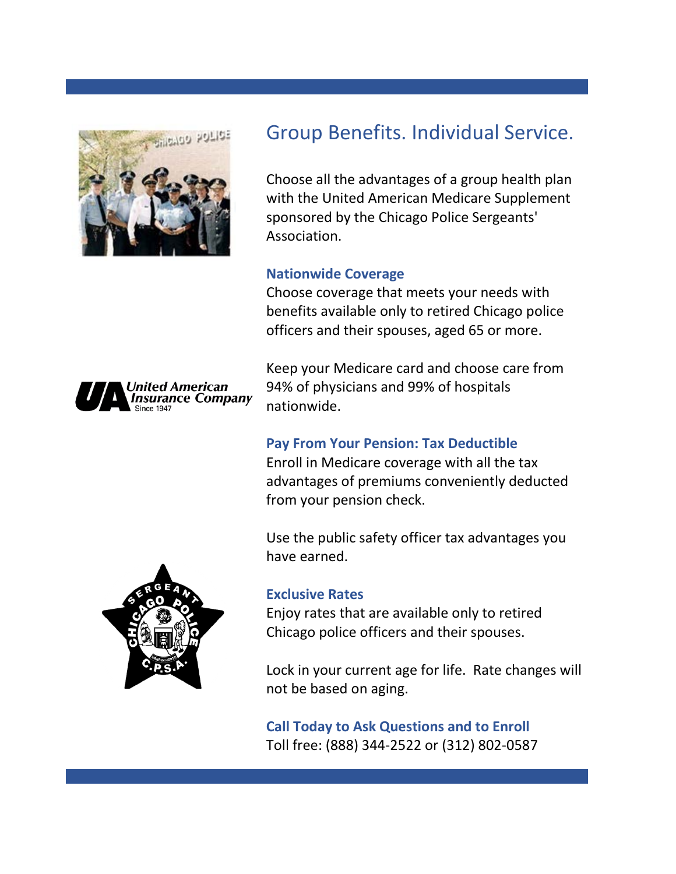

# Group Benefits. Individual Service.

Choose all the advantages of a group health plan with the United American Medicare Supplement sponsored by the Chicago Police Sergeants' Association.

## **Nationwide Coverage**

Choose coverage that meets your needs with benefits available only to retired Chicago police officers and their spouses, aged 65 or more.

Keep your Medicare card and choose care from 94% of physicians and 99% of hospitals nationwide.

## **Pay From Your Pension: Tax Deductible**

Enroll in Medicare coverage with all the tax advantages of premiums conveniently deducted from your pension check.

Use the public safety officer tax advantages you have earned.



Jnited American<br>Insurance Company

## **Exclusive Rates**

Enjoy rates that are available only to retired Chicago police officers and their spouses.

Lock in your current age for life. Rate changes will not be based on aging.

**Call Today to Ask Questions and to Enroll** Toll free: (888) 344-2522 or (312) 802-0587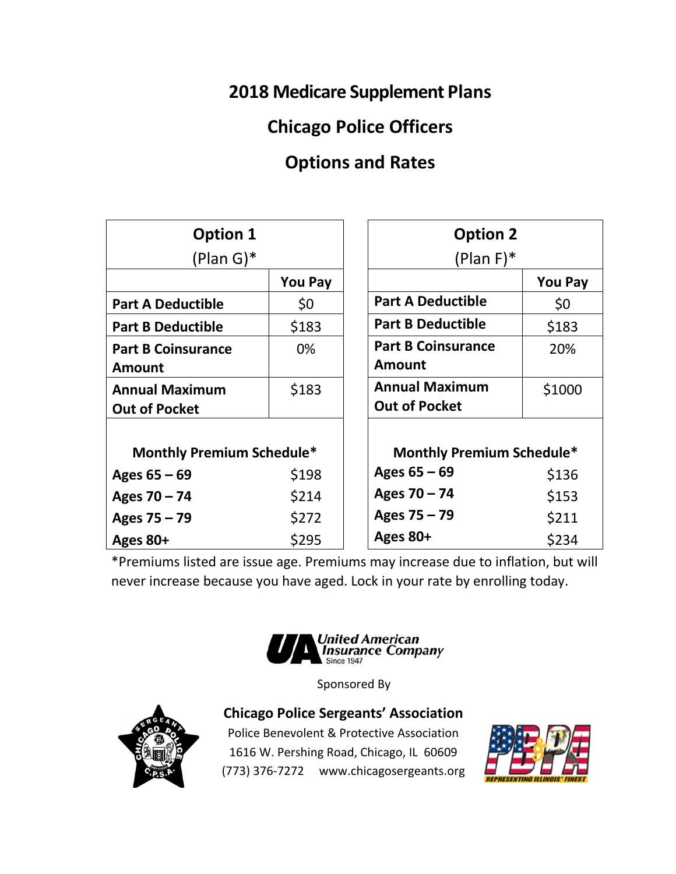# **2018 Medicare Supplement Plans**

# **Chicago Police Officers**

# **Options and Rates**

| <b>Option 1</b>                               |                | <b>Option 2</b>                               |                |
|-----------------------------------------------|----------------|-----------------------------------------------|----------------|
| $(Plan G)*$                                   |                | $(Plan F)*$                                   |                |
|                                               | <b>You Pay</b> |                                               | <b>You Pay</b> |
| <b>Part A Deductible</b>                      | \$0            | <b>Part A Deductible</b>                      | \$0            |
| <b>Part B Deductible</b>                      | \$183          | <b>Part B Deductible</b>                      | \$183          |
| <b>Part B Coinsurance</b><br><b>Amount</b>    | 0%             | <b>Part B Coinsurance</b><br><b>Amount</b>    | 20%            |
| <b>Annual Maximum</b><br><b>Out of Pocket</b> | \$183          | <b>Annual Maximum</b><br><b>Out of Pocket</b> | \$1000         |
| <b>Monthly Premium Schedule*</b>              |                | <b>Monthly Premium Schedule*</b>              |                |
| Ages $65 - 69$                                | \$198          | Ages $65 - 69$                                | \$136          |
| Ages $70 - 74$                                | \$214          | Ages $70 - 74$                                | \$153          |
| Ages 75 - 79                                  | \$272          | Ages 75 - 79                                  | \$211          |
| Ages 80+                                      | \$295          | Ages 80+                                      | \$234          |

\*Premiums listed are issue age. Premiums may increase due to inflation, but will never increase because you have aged. Lock in your rate by enrolling today.



Sponsored By



**Chicago Police Sergeants' Association**

Police Benevolent & Protective Association 1616 W. Pershing Road, Chicago, IL 60609 (773) 376-7272 www.chicagosergeants.org

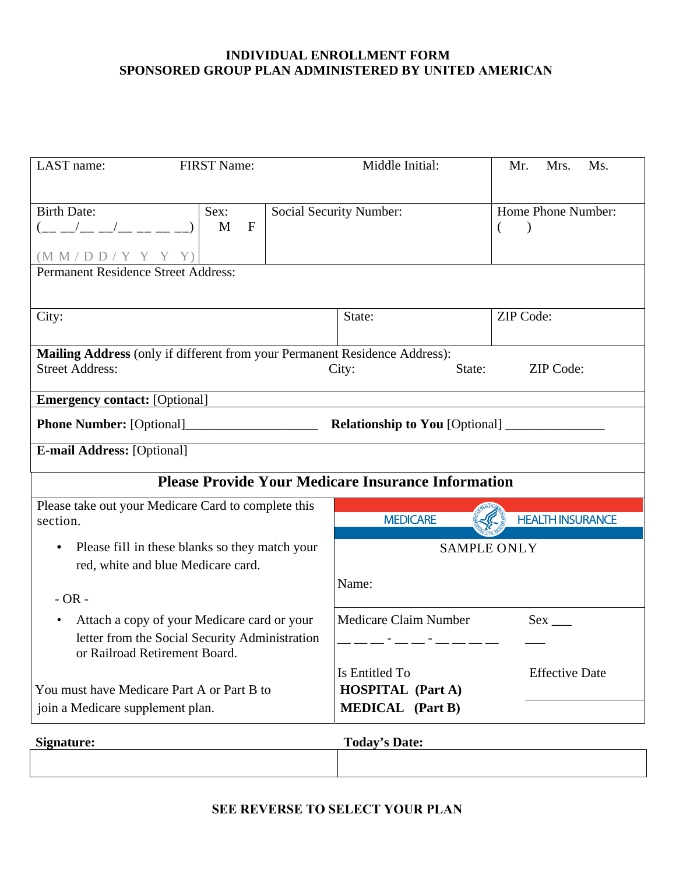## **INDIVIDUAL ENROLLMENT FORM SPONSORED GROUP PLAN ADMINISTERED BY UNITED AMERICAN**

| LAST name:<br><b>FIRST Name:</b>                                                                                               | Middle Initial:                                      | Mr.<br>Mrs.<br>Ms.                   |
|--------------------------------------------------------------------------------------------------------------------------------|------------------------------------------------------|--------------------------------------|
| <b>Birth Date:</b><br>Sex:<br>$($ __ _/__ _/__ __ __ __ __)<br>M<br>$\mathbf F$<br>$(M M / D D / Y Y Y Y)$                     | <b>Social Security Number:</b>                       | Home Phone Number:<br>$\overline{ }$ |
| <b>Permanent Residence Street Address:</b>                                                                                     |                                                      |                                      |
| City:                                                                                                                          | State:                                               | ZIP Code:                            |
| Mailing Address (only if different from your Permanent Residence Address):                                                     |                                                      |                                      |
| <b>Street Address:</b>                                                                                                         | State:<br>City:                                      | ZIP Code:                            |
| <b>Emergency contact:</b> [Optional]                                                                                           |                                                      |                                      |
|                                                                                                                                |                                                      |                                      |
| <b>E-mail Address:</b> [Optional]                                                                                              |                                                      |                                      |
| <b>Please Provide Your Medicare Insurance Information</b>                                                                      |                                                      |                                      |
| Please take out your Medicare Card to complete this<br>section.                                                                | <b>MEDICARE</b>                                      | <b>HEALTH INSURANCE</b>              |
| Please fill in these blanks so they match your<br>red, white and blue Medicare card.                                           |                                                      | <b>SAMPLE ONLY</b>                   |
| $-OR -$                                                                                                                        | Name:                                                |                                      |
| Attach a copy of your Medicare card or your<br>letter from the Social Security Administration<br>or Railroad Retirement Board. | Medicare Claim Number<br>__ __ - __ __ - __ __ __ __ | $Sex \_$                             |
| You must have Medicare Part A or Part B to                                                                                     | Is Entitled To<br><b>HOSPITAL</b> (Part A)           | <b>Effective Date</b>                |
| join a Medicare supplement plan.<br>Signature:                                                                                 | <b>MEDICAL</b> (Part B)<br><b>Today's Date:</b>      |                                      |

**SEE REVERSE TO SELECT YOUR PLAN**